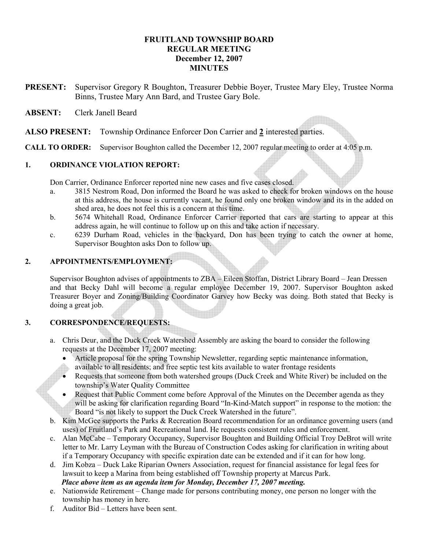# FRUITLAND TOWNSHIP BOARD REGULAR MEETING December 12, 2007 **MINUTES**

PRESENT: Supervisor Gregory R Boughton, Treasurer Debbie Boyer, Trustee Mary Eley, Trustee Norma Binns, Trustee Mary Ann Bard, and Trustee Gary Bole.

### ABSENT: Clerk Janell Beard

ALSO PRESENT: Township Ordinance Enforcer Don Carrier and 2 interested parties.

CALL TO ORDER: Supervisor Boughton called the December 12, 2007 regular meeting to order at 4:05 p.m.

### 1. ORDINANCE VIOLATION REPORT:

Don Carrier, Ordinance Enforcer reported nine new cases and five cases closed.

- a. 3815 Nestrom Road, Don informed the Board he was asked to check for broken windows on the house at this address, the house is currently vacant, he found only one broken window and its in the added on shed area, he does not feel this is a concern at this time.
- b. 5674 Whitehall Road, Ordinance Enforcer Carrier reported that cars are starting to appear at this address again, he will continue to follow up on this and take action if necessary.
- c. 6239 Durham Road, vehicles in the backyard, Don has been trying to catch the owner at home, Supervisor Boughton asks Don to follow up.

# 2. APPOINTMENTS/EMPLOYMENT:

Supervisor Boughton advises of appointments to ZBA – Eileen Stoffan, District Library Board – Jean Dressen and that Becky Dahl will become a regular employee December 19, 2007. Supervisor Boughton asked Treasurer Boyer and Zoning/Building Coordinator Garvey how Becky was doing. Both stated that Becky is doing a great job.

# 3. CORRESPONDENCE/REQUESTS:

- a. Chris Deur, and the Duck Creek Watershed Assembly are asking the board to consider the following requests at the December 17, 2007 meeting:
	- Article proposal for the spring Township Newsletter, regarding septic maintenance information, available to all residents; and free septic test kits available to water frontage residents
	- Requests that someone from both watershed groups (Duck Creek and White River) be included on the township's Water Quality Committee
	- Request that Public Comment come before Approval of the Minutes on the December agenda as they will be asking for clarification regarding Board "In-Kind-Match support" in response to the motion: the Board "is not likely to support the Duck Creek Watershed in the future".
- b. Kim McGee supports the Parks & Recreation Board recommendation for an ordinance governing users (and uses) of Fruitland's Park and Recreational land. He requests consistent rules and enforcement.
- c. Alan McCabe Temporary Occupancy, Supervisor Boughton and Building Official Troy DeBrot will write letter to Mr. Larry Leyman with the Bureau of Construction Codes asking for clarification in writing about if a Temporary Occupancy with specific expiration date can be extended and if it can for how long.
- d. Jim Kobza Duck Lake Riparian Owners Association, request for financial assistance for legal fees for lawsuit to keep a Marina from being established off Township property at Marcus Park. Place above item as an agenda item for Monday, December 17, 2007 meeting.
- e. Nationwide Retirement Change made for persons contributing money, one person no longer with the township has money in here.
- f. Auditor Bid Letters have been sent.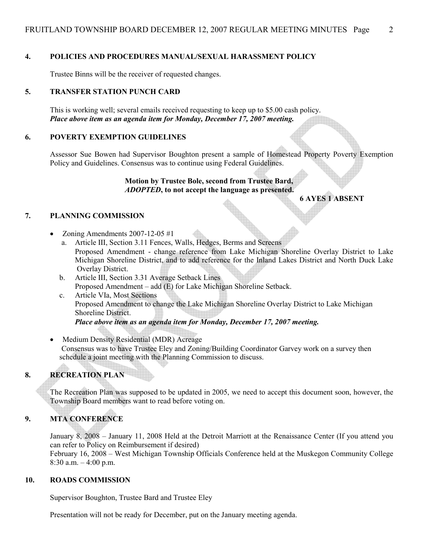### 4. POLICIES AND PROCEDURES MANUAL/SEXUAL HARASSMENT POLICY

Trustee Binns will be the receiver of requested changes.

#### 5. TRANSFER STATION PUNCH CARD

This is working well; several emails received requesting to keep up to \$5.00 cash policy. Place above item as an agenda item for Monday, December 17, 2007 meeting.

#### 6. POVERTY EXEMPTION GUIDELINES

Assessor Sue Bowen had Supervisor Boughton present a sample of Homestead Property Poverty Exemption Policy and Guidelines. Consensus was to continue using Federal Guidelines.

#### Motion by Trustee Bole, second from Trustee Bard, ADOPTED, to not accept the language as presented.

#### 6 AYES 1 ABSENT

#### 7. PLANNING COMMISSION

- Zoning Amendments  $2007-12-05 \#1$ 
	- a. Article III, Section 3.11 Fences, Walls, Hedges, Berms and Screens Proposed Amendment - change reference from Lake Michigan Shoreline Overlay District to Lake Michigan Shoreline District, and to add reference for the Inland Lakes District and North Duck Lake Overlay District.
	- b. Article III, Section 3.31 Average Setback Lines Proposed Amendment – add (E) for Lake Michigan Shoreline Setback.
	- c. Article VIa, Most Sections Proposed Amendment to change the Lake Michigan Shoreline Overlay District to Lake Michigan Shoreline District. Place above item as an agenda item for Monday, December 17, 2007 meeting.
- Medium Density Residential (MDR) Acreage Consensus was to have Trustee Eley and Zoning/Building Coordinator Garvey work on a survey then schedule a joint meeting with the Planning Commission to discuss.

# 8. RECREATION PLAN

 The Recreation Plan was supposed to be updated in 2005, we need to accept this document soon, however, the Township Board members want to read before voting on.

### 9. MTA CONFERENCE

 January 8, 2008 – January 11, 2008 Held at the Detroit Marriott at the Renaissance Center (If you attend you can refer to Policy on Reimbursement if desired) February 16, 2008 – West Michigan Township Officials Conference held at the Muskegon Community College  $8:30$  a.m.  $-4:00$  p.m.

#### 10. ROADS COMMISSION

Supervisor Boughton, Trustee Bard and Trustee Eley

Presentation will not be ready for December, put on the January meeting agenda.